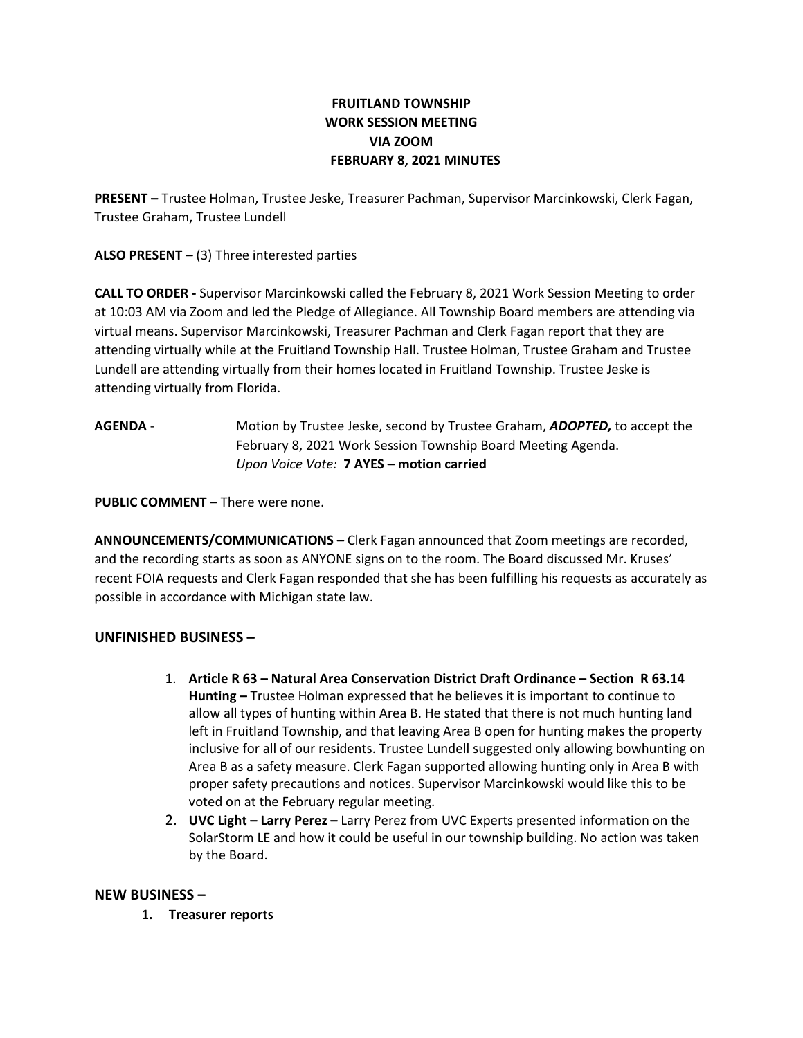## FRUITLAND TOWNSHIP WORK SESSION MEETING VIA ZOOM FEBRUARY 8, 2021 MINUTES

PRESENT – Trustee Holman, Trustee Jeske, Treasurer Pachman, Supervisor Marcinkowski, Clerk Fagan, Trustee Graham, Trustee Lundell

ALSO PRESENT – (3) Three interested parties

CALL TO ORDER - Supervisor Marcinkowski called the February 8, 2021 Work Session Meeting to order at 10:03 AM via Zoom and led the Pledge of Allegiance. All Township Board members are attending via virtual means. Supervisor Marcinkowski, Treasurer Pachman and Clerk Fagan report that they are attending virtually while at the Fruitland Township Hall. Trustee Holman, Trustee Graham and Trustee Lundell are attending virtually from their homes located in Fruitland Township. Trustee Jeske is attending virtually from Florida.

AGENDA - Motion by Trustee Jeske, second by Trustee Graham, ADOPTED, to accept the February 8, 2021 Work Session Township Board Meeting Agenda. Upon Voice Vote: 7 AYES – motion carried

PUBLIC COMMENT – There were none.

ANNOUNCEMENTS/COMMUNICATIONS – Clerk Fagan announced that Zoom meetings are recorded, and the recording starts as soon as ANYONE signs on to the room. The Board discussed Mr. Kruses' recent FOIA requests and Clerk Fagan responded that she has been fulfilling his requests as accurately as possible in accordance with Michigan state law.

## UNFINISHED BUSINESS –

- 1. Article R 63 Natural Area Conservation District Draft Ordinance Section R 63.14 Hunting – Trustee Holman expressed that he believes it is important to continue to allow all types of hunting within Area B. He stated that there is not much hunting land left in Fruitland Township, and that leaving Area B open for hunting makes the property inclusive for all of our residents. Trustee Lundell suggested only allowing bowhunting on Area B as a safety measure. Clerk Fagan supported allowing hunting only in Area B with proper safety precautions and notices. Supervisor Marcinkowski would like this to be voted on at the February regular meeting.
- 2. UVC Light Larry Perez Larry Perez from UVC Experts presented information on the SolarStorm LE and how it could be useful in our township building. No action was taken by the Board.

## NEW BUSINESS –

1. Treasurer reports